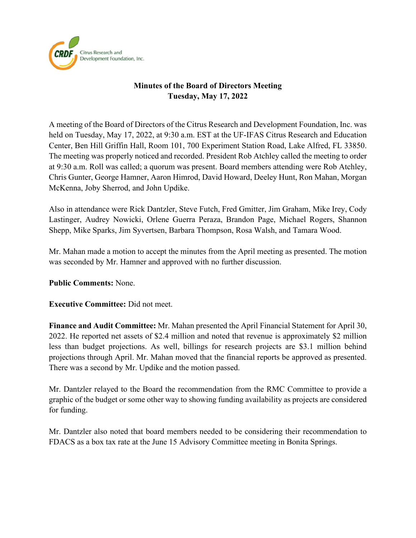

## **Minutes of the Board of Directors Meeting Tuesday, May 17, 2022**

A meeting of the Board of Directors of the Citrus Research and Development Foundation, Inc. was held on Tuesday, May 17, 2022, at 9:30 a.m. EST at the UF-IFAS Citrus Research and Education Center, Ben Hill Griffin Hall, Room 101, 700 Experiment Station Road, Lake Alfred, FL 33850. The meeting was properly noticed and recorded. President Rob Atchley called the meeting to order at 9:30 a.m. Roll was called; a quorum was present. Board members attending were Rob Atchley, Chris Gunter, George Hamner, Aaron Himrod, David Howard, Deeley Hunt, Ron Mahan, Morgan McKenna, Joby Sherrod, and John Updike.

Also in attendance were Rick Dantzler, Steve Futch, Fred Gmitter, Jim Graham, Mike Irey, Cody Lastinger, Audrey Nowicki, Orlene Guerra Peraza, Brandon Page, Michael Rogers, Shannon Shepp, Mike Sparks, Jim Syvertsen, Barbara Thompson, Rosa Walsh, and Tamara Wood.

Mr. Mahan made a motion to accept the minutes from the April meeting as presented. The motion was seconded by Mr. Hamner and approved with no further discussion.

### **Public Comments:** None.

**Executive Committee:** Did not meet.

**Finance and Audit Committee:** Mr. Mahan presented the April Financial Statement for April 30, 2022. He reported net assets of \$2.4 million and noted that revenue is approximately \$2 million less than budget projections. As well, billings for research projects are \$3.1 million behind projections through April. Mr. Mahan moved that the financial reports be approved as presented. There was a second by Mr. Updike and the motion passed.

Mr. Dantzler relayed to the Board the recommendation from the RMC Committee to provide a graphic of the budget or some other way to showing funding availability as projects are considered for funding.

Mr. Dantzler also noted that board members needed to be considering their recommendation to FDACS as a box tax rate at the June 15 Advisory Committee meeting in Bonita Springs.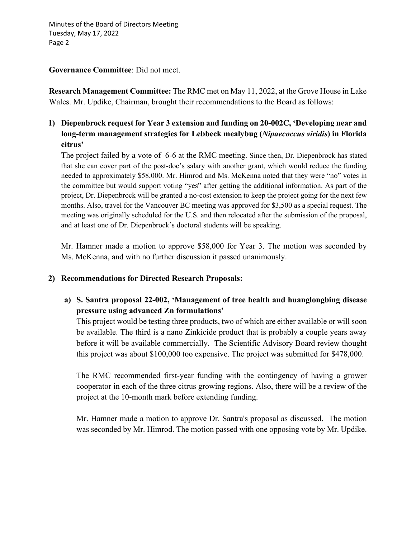Minutes of the Board of Directors Meeting Tuesday, May 17, 2022 Page 2

**Governance Committee**: Did not meet.

**Research Management Committee:** The RMC met on May 11, 2022, at the Grove House in Lake Wales. Mr. Updike, Chairman, brought their recommendations to the Board as follows:

## **1) Diepenbrock request for Year 3 extension and funding on 20-002C, 'Developing near and long-term management strategies for Lebbeck mealybug (***Nipaecoccus viridis***) in Florida citrus'**

The project failed by a vote of 6-6 at the RMC meeting. Since then, Dr. Diepenbrock has stated that she can cover part of the post-doc's salary with another grant, which would reduce the funding needed to approximately \$58,000. Mr. Himrod and Ms. McKenna noted that they were "no" votes in the committee but would support voting "yes" after getting the additional information. As part of the project, Dr. Diepenbrock will be granted a no-cost extension to keep the project going for the next few months. Also, travel for the Vancouver BC meeting was approved for \$3,500 as a special request. The meeting was originally scheduled for the U.S. and then relocated after the submission of the proposal, and at least one of Dr. Diepenbrock's doctoral students will be speaking. .

Mr. Hamner made a motion to approve \$58,000 for Year 3. The motion was seconded by Ms. McKenna, and with no further discussion it passed unanimously.

### **2) Recommendations for Directed Research Proposals:**

### **a) S. Santra proposal 22-002, 'Management of tree health and huanglongbing disease pressure using advanced Zn formulations'**

This project would be testing three products, two of which are either available or will soon be available. The third is a nano Zinkicide product that is probably a couple years away before it will be available commercially. The Scientific Advisory Board review thought this project was about \$100,000 too expensive. The project was submitted for \$478,000.

The RMC recommended first-year funding with the contingency of having a grower cooperator in each of the three citrus growing regions. Also, there will be a review of the project at the 10-month mark before extending funding.

Mr. Hamner made a motion to approve Dr. Santra's proposal as discussed. The motion was seconded by Mr. Himrod. The motion passed with one opposing vote by Mr. Updike.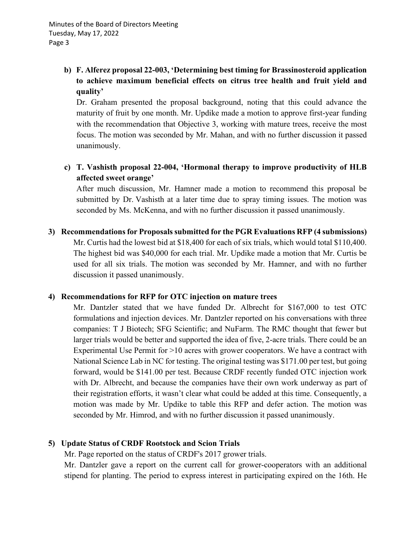# **b) F. Alferez proposal 22-003, 'Determining best timing for Brassinosteroid application to achieve maximum beneficial effects on citrus tree health and fruit yield and quality'**

Dr. Graham presented the proposal background, noting that this could advance the maturity of fruit by one month. Mr. Updike made a motion to approve first-year funding with the recommendation that Objective 3, working with mature trees, receive the most focus. The motion was seconded by Mr. Mahan, and with no further discussion it passed unanimously.

## **c) T. Vashisth proposal 22-004, 'Hormonal therapy to improve productivity of HLB affected sweet orange'**

After much discussion, Mr. Hamner made a motion to recommend this proposal be submitted by Dr. Vashisth at a later time due to spray timing issues. The motion was seconded by Ms. McKenna, and with no further discussion it passed unanimously.

**3) Recommendations for Proposals submitted for the PGR Evaluations RFP (4 submissions)** Mr. Curtis had the lowest bid at \$18,400 for each of six trials, which would total \$110,400. The highest bid was \$40,000 for each trial. Mr. Updike made a motion that Mr. Curtis be used for all six trials. The motion was seconded by Mr. Hamner, and with no further discussion it passed unanimously.

### **4) Recommendations for RFP for OTC injection on mature trees**

Mr. Dantzler stated that we have funded Dr. Albrecht for \$167,000 to test OTC formulations and injection devices. Mr. Dantzler reported on his conversations with three companies: T J Biotech; SFG Scientific; and NuFarm. The RMC thought that fewer but larger trials would be better and supported the idea of five, 2-acre trials. There could be an Experimental Use Permit for >10 acres with grower cooperators. We have a contract with National Science Lab in NC for testing. The original testing was \$171.00 per test, but going forward, would be \$141.00 per test. Because CRDF recently funded OTC injection work with Dr. Albrecht, and because the companies have their own work underway as part of their registration efforts, it wasn't clear what could be added at this time. Consequently, a motion was made by Mr. Updike to table this RFP and defer action. The motion was seconded by Mr. Himrod, and with no further discussion it passed unanimously.

### **5) Update Status of CRDF Rootstock and Scion Trials**

Mr. Page reported on the status of CRDF's 2017 grower trials.

Mr. Dantzler gave a report on the current call for grower-cooperators with an additional stipend for planting. The period to express interest in participating expired on the 16th. He